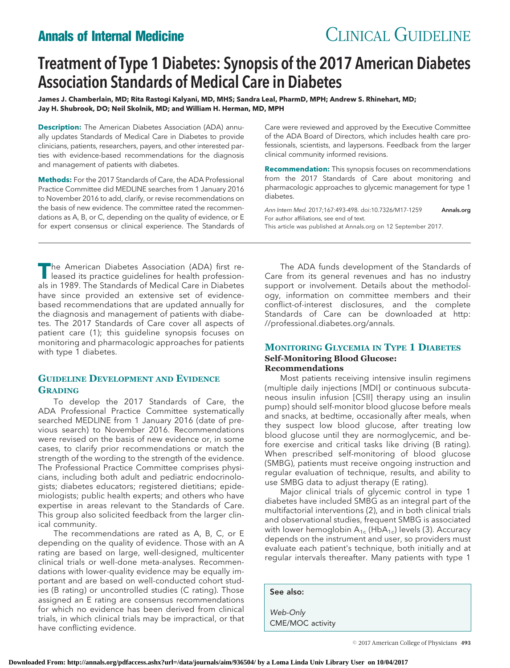# **Annals of Internal Medicine CLINICAL GUIDELINE**

# Treatment of Type 1 Diabetes: Synopsis of the 2017 American Diabetes Association Standards of Medical Care in Diabetes

**James J. Chamberlain, MD; Rita Rastogi Kalyani, MD, MHS; Sandra Leal, PharmD, MPH; Andrew S. Rhinehart, MD; Jay H. Shubrook, DO; Neil Skolnik, MD; and William H. Herman, MD, MPH**

**Description:** The American Diabetes Association (ADA) annually updates Standards of Medical Care in Diabetes to provide clinicians, patients, researchers, payers, and other interested parties with evidence-based recommendations for the diagnosis and management of patients with diabetes.

**Methods:** For the 2017 Standards of Care, the ADA Professional Practice Committee did MEDLINE searches from 1 January 2016 to November 2016 to add, clarify, or revise recommendations on the basis of new evidence. The committee rated the recommendations as A, B, or C, depending on the quality of evidence, or E for expert consensus or clinical experience. The Standards of Care were reviewed and approved by the Executive Committee of the ADA Board of Directors, which includes health care professionals, scientists, and laypersons. Feedback from the larger clinical community informed revisions.

**Recommendation:** This synopsis focuses on recommendations from the 2017 Standards of Care about monitoring and pharmacologic approaches to glycemic management for type 1 diabetes.

Ann Intern Med. 2017;167:493-498. doi:10.7326/M17-1259 **[Annals.org](http://www.annals.org)** For author affiliations, see end of text. This article was published at [Annals.org](http://www.annals.org) on 12 September 2017.

**The American Diabetes Association (ADA) first re-**<br>leased its practice guidelines for health professionals in 1989. The Standards of Medical Care in Diabetes have since provided an extensive set of evidencebased recommendations that are updated annually for the diagnosis and management of patients with diabetes. The 2017 Standards of Care cover all aspects of patient care (1); this guideline synopsis focuses on monitoring and pharmacologic approaches for patients with type 1 diabetes.

# **GUIDELINE DEVELOPMENT AND EVIDENCE GRADING**

To develop the 2017 Standards of Care, the ADA Professional Practice Committee systematically searched MEDLINE from 1 January 2016 (date of previous search) to November 2016. Recommendations were revised on the basis of new evidence or, in some cases, to clarify prior recommendations or match the strength of the wording to the strength of the evidence. The Professional Practice Committee comprises physicians, including both adult and pediatric endocrinologists; diabetes educators; registered dietitians; epidemiologists; public health experts; and others who have expertise in areas relevant to the Standards of Care. This group also solicited feedback from the larger clinical community.

The recommendations are rated as A, B, C, or E depending on the quality of evidence. Those with an A rating are based on large, well-designed, multicenter clinical trials or well-done meta-analyses. Recommendations with lower-quality evidence may be equally important and are based on well-conducted cohort studies (B rating) or uncontrolled studies (C rating). Those assigned an E rating are consensus recommendations for which no evidence has been derived from clinical trials, in which clinical trials may be impractical, or that have conflicting evidence.

The ADA funds development of the Standards of Care from its general revenues and has no industry support or involvement. Details about the methodology, information on committee members and their conflict-of-interest disclosures, and the complete Standards of Care can be downloaded at [http:](http://professional.diabetes.org/annals) [//professional.diabetes.org/annals.](http://professional.diabetes.org/annals)

# **MONITORING GLYCEMIA IN TYPE 1 DIABETES**

### **Self-Monitoring Blood Glucose: Recommendations**

Most patients receiving intensive insulin regimens (multiple daily injections [MDI] or continuous subcutaneous insulin infusion [CSII] therapy using an insulin pump) should self-monitor blood glucose before meals and snacks, at bedtime, occasionally after meals, when they suspect low blood glucose, after treating low blood glucose until they are normoglycemic, and before exercise and critical tasks like driving (B rating). When prescribed self-monitoring of blood glucose (SMBG), patients must receive ongoing instruction and regular evaluation of technique, results, and ability to use SMBG data to adjust therapy (E rating).

Major clinical trials of glycemic control in type 1 diabetes have included SMBG as an integral part of the multifactorial interventions (2), and in both clinical trials and observational studies, frequent SMBG is associated with lower hemoglobin  $A_{1c}$  (Hb $A_{1c}$ ) levels (3). Accuracy depends on the instrument and user, so providers must evaluate each patient's technique, both initially and at regular intervals thereafter. Many patients with type 1

See also:

*Web-Only* CME/MOC activity

© 2017 American College of Physicians **493**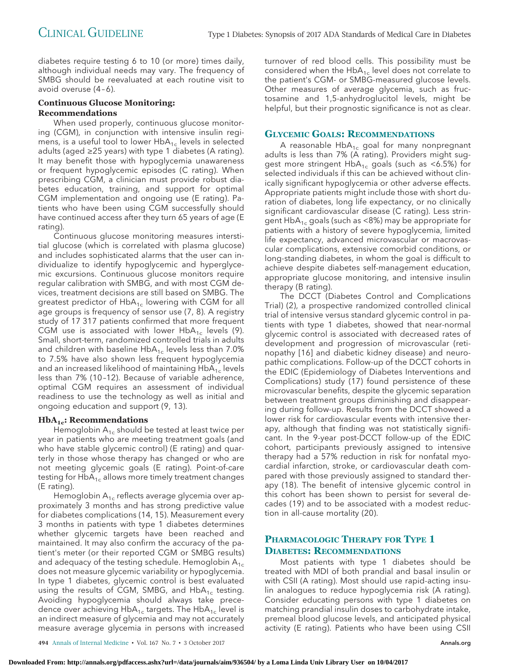diabetes require testing 6 to 10 (or more) times daily, although individual needs may vary. The frequency of SMBG should be reevaluated at each routine visit to avoid overuse (4 – 6).

# **Continuous Glucose Monitoring: Recommendations**

When used properly, continuous glucose monitoring (CGM), in conjunction with intensive insulin regimens, is a useful tool to lower  $HbA_{1c}$  levels in selected adults (aged ≥25 years) with type 1 diabetes (A rating). It may benefit those with hypoglycemia unawareness or frequent hypoglycemic episodes (C rating). When prescribing CGM, a clinician must provide robust diabetes education, training, and support for optimal CGM implementation and ongoing use (E rating). Patients who have been using CGM successfully should have continued access after they turn 65 years of age (E rating).

Continuous glucose monitoring measures interstitial glucose (which is correlated with plasma glucose) and includes sophisticated alarms that the user can individualize to identify hypoglycemic and hyperglycemic excursions. Continuous glucose monitors require regular calibration with SMBG, and with most CGM devices, treatment decisions are still based on SMBG. The greatest predictor of  $HbA_{1c}$  lowering with CGM for all age groups is frequency of sensor use (7, 8). A registry study of 17 317 patients confirmed that more frequent CGM use is associated with lower  $HbA_{1c}$  levels (9). Small, short-term, randomized controlled trials in adults and children with baseline  $HbA_{1c}$  levels less than 7.0% to 7.5% have also shown less frequent hypoglycemia and an increased likelihood of maintaining  $HbA_{1c}$  levels less than 7% (10 –12). Because of variable adherence, optimal CGM requires an assessment of individual readiness to use the technology as well as initial and ongoing education and support (9, 13).

# **HbA1c: Recommendations**

Hemoglobin  $A_{1c}$  should be tested at least twice per year in patients who are meeting treatment goals (and who have stable glycemic control) (E rating) and quarterly in those whose therapy has changed or who are not meeting glycemic goals (E rating). Point-of-care testing for  $HbA_{1c}$  allows more timely treatment changes (E rating).

Hemoglobin  $A_{1c}$  reflects average glycemia over approximately 3 months and has strong predictive value for diabetes complications (14, 15). Measurement every 3 months in patients with type 1 diabetes determines whether glycemic targets have been reached and maintained. It may also confirm the accuracy of the patient's meter (or their reported CGM or SMBG results) and adequacy of the testing schedule. Hemoglobin  $A_{1c}$ does not measure glycemic variability or hypoglycemia. In type 1 diabetes, glycemic control is best evaluated using the results of CGM, SMBG, and  $HbA_{1c}$  testing. Avoiding hypoglycemia should always take precedence over achieving  $HbA_{1c}$  targets. The  $HbA_{1c}$  level is an indirect measure of glycemia and may not accurately measure average glycemia in persons with increased

turnover of red blood cells. This possibility must be considered when the  $HbA_{1c}$  level does not correlate to the patient's CGM- or SMBG-measured glucose levels. Other measures of average glycemia, such as fructosamine and 1,5-anhydroglucitol levels, might be helpful, but their prognostic significance is not as clear.

# **GLYCEMIC GOALS: RECOMMENDATIONS**

A reasonable  $HbA_{1c}$  goal for many nonpregnant adults is less than 7% (A rating). Providers might suggest more stringent  $HbA_{1c}$  goals (such as <6.5%) for selected individuals if this can be achieved without clinically significant hypoglycemia or other adverse effects. Appropriate patients might include those with short duration of diabetes, long life expectancy, or no clinically significant cardiovascular disease (C rating). Less stringent  $HbA_{1c}$  goals (such as <8%) may be appropriate for patients with a history of severe hypoglycemia, limited life expectancy, advanced microvascular or macrovascular complications, extensive comorbid conditions, or long-standing diabetes, in whom the goal is difficult to achieve despite diabetes self-management education, appropriate glucose monitoring, and intensive insulin therapy (B rating).

The DCCT (Diabetes Control and Complications Trial) (2), a prospective randomized controlled clinical trial of intensive versus standard glycemic control in patients with type 1 diabetes, showed that near-normal glycemic control is associated with decreased rates of development and progression of microvascular (retinopathy [16] and diabetic kidney disease) and neuropathic complications. Follow-up of the DCCT cohorts in the EDIC (Epidemiology of Diabetes Interventions and Complications) study (17) found persistence of these microvascular benefits, despite the glycemic separation between treatment groups diminishing and disappearing during follow-up. Results from the DCCT showed a lower risk for cardiovascular events with intensive therapy, although that finding was not statistically significant. In the 9-year post-DCCT follow-up of the EDIC cohort, participants previously assigned to intensive therapy had a 57% reduction in risk for nonfatal myocardial infarction, stroke, or cardiovascular death compared with those previously assigned to standard therapy (18). The benefit of intensive glycemic control in this cohort has been shown to persist for several decades (19) and to be associated with a modest reduction in all-cause mortality (20).

# **PHARMACOLOGIC THERAPY FOR TYPE 1 DIABETES: RECOMMENDATIONS**

Most patients with type 1 diabetes should be treated with MDI of both prandial and basal insulin or with CSII (A rating). Most should use rapid-acting insulin analogues to reduce hypoglycemia risk (A rating). Consider educating persons with type 1 diabetes on matching prandial insulin doses to carbohydrate intake, premeal blood glucose levels, and anticipated physical activity (E rating). Patients who have been using CSII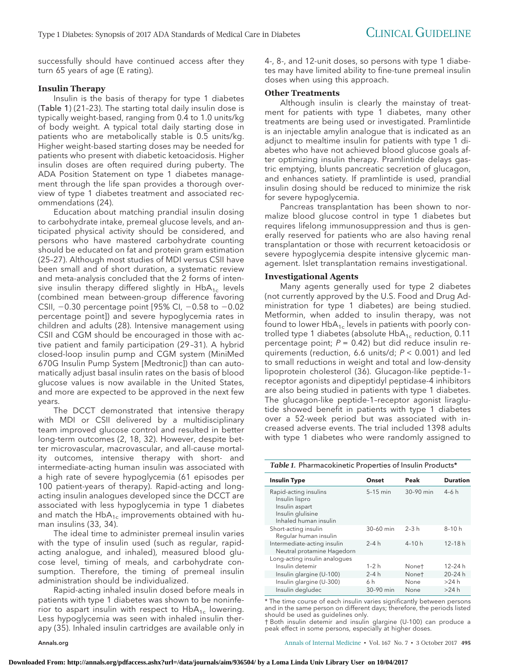successfully should have continued access after they turn 65 years of age (E rating).

# **Insulin Therapy**

Insulin is the basis of therapy for type 1 diabetes (Table 1) (21–23). The starting total daily insulin dose is typically weight-based, ranging from 0.4 to 1.0 units/kg of body weight. A typical total daily starting dose in patients who are metabolically stable is 0.5 units/kg. Higher weight-based starting doses may be needed for patients who present with diabetic ketoacidosis. Higher insulin doses are often required during puberty. The ADA Position Statement on type 1 diabetes management through the life span provides a thorough overview of type 1 diabetes treatment and associated recommendations (24).

Education about matching prandial insulin dosing to carbohydrate intake, premeal glucose levels, and anticipated physical activity should be considered, and persons who have mastered carbohydrate counting should be educated on fat and protein gram estimation (25–27). Although most studies of MDI versus CSII have been small and of short duration, a systematic review and meta-analysis concluded that the 2 forms of intensive insulin therapy differed slightly in  $HbA_{1c}$  levels (combined mean between-group difference favoring CSII, -0.30 percentage point [95% CI, -0.58 to -0.02 percentage point]) and severe hypoglycemia rates in children and adults (28). Intensive management using CSII and CGM should be encouraged in those with active patient and family participation (29 –31). A hybrid closed-loop insulin pump and CGM system (MiniMed 670G Insulin Pump System [Medtronic]) than can automatically adjust basal insulin rates on the basis of blood glucose values is now available in the United States, and more are expected to be approved in the next few years.

The DCCT demonstrated that intensive therapy with MDI or CSII delivered by a multidisciplinary team improved glucose control and resulted in better long-term outcomes (2, 18, 32). However, despite better microvascular, macrovascular, and all-cause mortality outcomes, intensive therapy with short- and intermediate-acting human insulin was associated with a high rate of severe hypoglycemia (61 episodes per 100 patient-years of therapy). Rapid-acting and longacting insulin analogues developed since the DCCT are associated with less hypoglycemia in type 1 diabetes and match the  $HbA_{1c}$  improvements obtained with human insulins (33, 34).

The ideal time to administer premeal insulin varies with the type of insulin used (such as regular, rapidacting analogue, and inhaled), measured blood glucose level, timing of meals, and carbohydrate consumption. Therefore, the timing of premeal insulin administration should be individualized.

Rapid-acting inhaled insulin dosed before meals in patients with type 1 diabetes was shown to be noninferior to aspart insulin with respect to  $HbA_{1c}$  lowering. Less hypoglycemia was seen with inhaled insulin therapy (35). Inhaled insulin cartridges are available only in

4-, 8-, and 12-unit doses, so persons with type 1 diabetes may have limited ability to fine-tune premeal insulin doses when using this approach.

### **Other Treatments**

Although insulin is clearly the mainstay of treatment for patients with type 1 diabetes, many other treatments are being used or investigated. Pramlintide is an injectable amylin analogue that is indicated as an adjunct to mealtime insulin for patients with type 1 diabetes who have not achieved blood glucose goals after optimizing insulin therapy. Pramlintide delays gastric emptying, blunts pancreatic secretion of glucagon, and enhances satiety. If pramlintide is used, prandial insulin dosing should be reduced to minimize the risk for severe hypoglycemia.

Pancreas transplantation has been shown to normalize blood glucose control in type 1 diabetes but requires lifelong immunosuppression and thus is generally reserved for patients who are also having renal transplantation or those with recurrent ketoacidosis or severe hypoglycemia despite intensive glycemic management. Islet transplantation remains investigational.

### **Investigational Agents**

Many agents generally used for type 2 diabetes (not currently approved by the U.S. Food and Drug Administration for type 1 diabetes) are being studied. Metformin, when added to insulin therapy, was not found to lower  $HbA_{1c}$  levels in patients with poorly controlled type 1 diabetes (absolute  $HbA_{1c}$  reduction, 0.11 percentage point;  $P = 0.42$ ) but did reduce insulin requirements (reduction, 6.6 units/d;  $P < 0.001$ ) and led to small reductions in weight and total and low-density lipoprotein cholesterol (36). Glucagon-like peptide-1– receptor agonists and dipeptidyl peptidase-4 inhibitors are also being studied in patients with type 1 diabetes. The glucagon-like peptide-1–receptor agonist liraglutide showed benefit in patients with type 1 diabetes over a 52-week period but was associated with increased adverse events. The trial included 1398 adults with type 1 diabetes who were randomly assigned to

#### *Table 1.* Pharmacokinetic Properties of Insulin Products\*

| <b>Insulin Type</b>                                                                                     | Onset       | Peak      | <b>Duration</b> |
|---------------------------------------------------------------------------------------------------------|-------------|-----------|-----------------|
| Rapid-acting insulins<br>Insulin lispro<br>Insulin aspart<br>Insulin glulisine<br>Inhaled human insulin | $5-15$ min  | 30-90 min | $4-6h$          |
| Short-acting insulin<br>Regular human insulin                                                           | $30-60$ min | $2-3h$    | $8-10h$         |
| Intermediate-acting insulin<br>Neutral protamine Hagedorn                                               | $2-4h$      | $4 - 10h$ | $12 - 18h$      |
| Long-acting insulin analogues<br>Insulin detemir                                                        |             |           |                 |
|                                                                                                         | 1-2 h       | Nonet     | $12 - 24 h$     |
| Insulin glargine (U-100)                                                                                | $2-4h$      | Nonet     | $20 - 24h$      |
| Insulin glargine (U-300)                                                                                | 6 h         | None      | $>24$ h         |
| Insulin degludec                                                                                        | 30-90 min   | None      | $>24$ h         |

\* The time course of each insulin varies significantly between persons and in the same person on different days; therefore, the periods listed should be used as guidelines only.

† Both insulin detemir and insulin glargine (U-100) can produce a peak effect in some persons, especially at higher doses.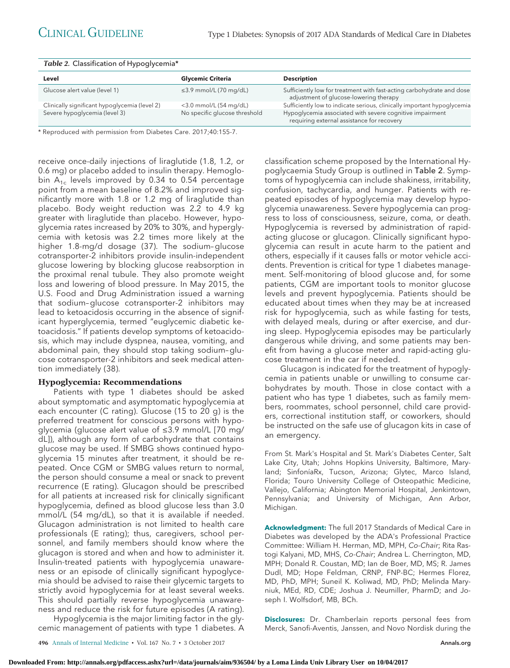| Table 2. Classification of Hypoglycemia*      |                               |                                                                                                                 |  |
|-----------------------------------------------|-------------------------------|-----------------------------------------------------------------------------------------------------------------|--|
| Level                                         | <b>Glycemic Criteria</b>      | <b>Description</b>                                                                                              |  |
| Glucose alert value (level 1)                 | $\leq$ 3.9 mmol/L (70 mg/dL)  | Sufficiently low for treatment with fast-acting carbohydrate and dose<br>adjustment of glucose-lowering therapy |  |
| Clinically significant hypoglycemia (level 2) | <3.0 mmol/L (54 mg/dL)        | Sufficiently low to indicate serious, clinically important hypoglycemia                                         |  |
| Severe hypoglycemia (level 3)                 | No specific glucose threshold | Hypoglycemia associated with severe cognitive impairment<br>requiring external assistance for recovery          |  |

\* Reproduced with permission from Diabetes Care. 2017;40:155-7.

receive once-daily injections of liraglutide (1.8, 1.2, or 0.6 mg) or placebo added to insulin therapy. Hemoglobin  $A_{1c}$  levels improved by 0.34 to 0.54 percentage point from a mean baseline of 8.2% and improved significantly more with 1.8 or 1.2 mg of liraglutide than placebo. Body weight reduction was 2.2 to 4.9 kg greater with liraglutide than placebo. However, hypoglycemia rates increased by 20% to 30%, and hyperglycemia with ketosis was 2.2 times more likely at the higher 1.8-mg/d dosage (37). The sodium–glucose cotransporter-2 inhibitors provide insulin-independent glucose lowering by blocking glucose reabsorption in the proximal renal tubule. They also promote weight loss and lowering of blood pressure. In May 2015, the U.S. Food and Drug Administration issued a warning that sodium–glucose cotransporter-2 inhibitors may lead to ketoacidosis occurring in the absence of significant hyperglycemia, termed "euglycemic diabetic ketoacidosis." If patients develop symptoms of ketoacidosis, which may include dyspnea, nausea, vomiting, and abdominal pain, they should stop taking sodium–glucose cotransporter-2 inhibitors and seek medical attention immediately (38).

# **Hypoglycemia: Recommendations**

Patients with type 1 diabetes should be asked about symptomatic and asymptomatic hypoglycemia at each encounter (C rating). Glucose (15 to 20 g) is the preferred treatment for conscious persons with hypoglycemia (glucose alert value of ≤3.9 mmol/L [70 mg/ dL]), although any form of carbohydrate that contains glucose may be used. If SMBG shows continued hypoglycemia 15 minutes after treatment, it should be repeated. Once CGM or SMBG values return to normal, the person should consume a meal or snack to prevent recurrence (E rating). Glucagon should be prescribed for all patients at increased risk for clinically significant hypoglycemia, defined as blood glucose less than 3.0 mmol/L (54 mg/dL), so that it is available if needed. Glucagon administration is not limited to health care professionals (E rating); thus, caregivers, school personnel, and family members should know where the glucagon is stored and when and how to administer it. Insulin-treated patients with hypoglycemia unawareness or an episode of clinically significant hypoglycemia should be advised to raise their glycemic targets to strictly avoid hypoglycemia for at least several weeks. This should partially reverse hypoglycemia unawareness and reduce the risk for future episodes (A rating).

Hypoglycemia is the major limiting factor in the glycemic management of patients with type 1 diabetes. A classification scheme proposed by the International Hypoglycaemia Study Group is outlined in Table 2. Symptoms of hypoglycemia can include shakiness, irritability, confusion, tachycardia, and hunger. Patients with repeated episodes of hypoglycemia may develop hypoglycemia unawareness. Severe hypoglycemia can progress to loss of consciousness, seizure, coma, or death. Hypoglycemia is reversed by administration of rapidacting glucose or glucagon. Clinically significant hypoglycemia can result in acute harm to the patient and others, especially if it causes falls or motor vehicle accidents. Prevention is critical for type 1 diabetes management. Self-monitoring of blood glucose and, for some patients, CGM are important tools to monitor glucose levels and prevent hypoglycemia. Patients should be educated about times when they may be at increased risk for hypoglycemia, such as while fasting for tests, with delayed meals, during or after exercise, and during sleep. Hypoglycemia episodes may be particularly dangerous while driving, and some patients may benefit from having a glucose meter and rapid-acting glucose treatment in the car if needed.

Glucagon is indicated for the treatment of hypoglycemia in patients unable or unwilling to consume carbohydrates by mouth. Those in close contact with a patient who has type 1 diabetes, such as family members, roommates, school personnel, child care providers, correctional institution staff, or coworkers, should be instructed on the safe use of glucagon kits in case of an emergency.

From St. Mark's Hospital and St. Mark's Diabetes Center, Salt Lake City, Utah; Johns Hopkins University, Baltimore, Maryland; SinfoníaRx, Tucson, Arizona; Glytec, Marco Island, Florida; Touro University College of Osteopathic Medicine, Vallejo, California; Abington Memorial Hospital, Jenkintown, Pennsylvania; and University of Michigan, Ann Arbor, Michigan.

**Acknowledgment:** The full 2017 Standards of Medical Care in Diabetes was developed by the ADA's Professional Practice Committee: William H. Herman, MD, MPH, Co-Chair; Rita Rastogi Kalyani, MD, MHS, Co-Chair; Andrea L. Cherrington, MD, MPH; Donald R. Coustan, MD; Ian de Boer, MD, MS; R. James Dudl, MD; Hope Feldman, CRNP, FNP-BC; Hermes Florez, MD, PhD, MPH; Suneil K. Koliwad, MD, PhD; Melinda Maryniuk, MEd, RD, CDE; Joshua J. Neumiller, PharmD; and Joseph I. Wolfsdorf, MB, BCh.

**Disclosures:** Dr. Chamberlain reports personal fees from Merck, Sanofi-Aventis, Janssen, and Novo Nordisk during the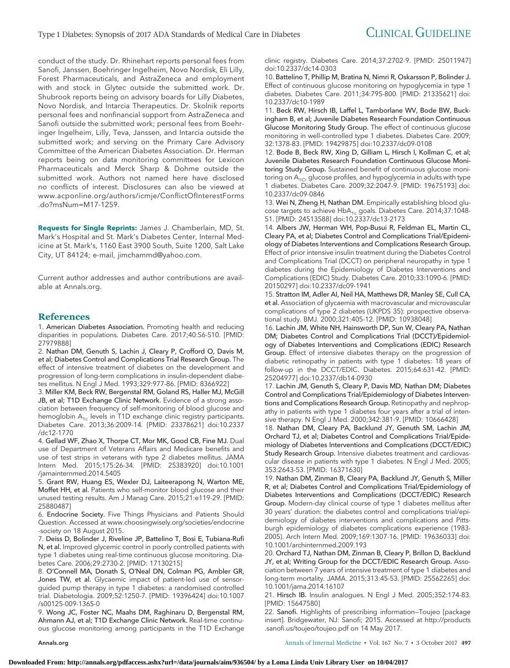conduct of the study. Dr. Rhinehart reports personal fees from Sanofi, Janssen, Boehringer Ingelheim, Novo Nordisk, Eli Lilly, Forest Pharmaceuticals, and AstraZeneca and employment with and stock in Glytec outside the submitted work. Dr. Shubrook reports being on advisory boards for Lilly Diabetes, Novo Nordisk, and Intarcia Therapeutics. Dr. Skolnik reports personal fees and nonfinancial support from AstraZeneca and Sanofi outside the submitted work; personal fees from Boehringer Ingelheim, Lilly, Teva, Janssen, and Intarcia outside the submitted work; and serving on the Primary Care Advisory Committee of the American Diabetes Association. Dr. Herman reports being on data monitoring committees for Lexicon Pharmaceuticals and Merck Sharp & Dohme outside the submitted work. Authors not named here have disclosed no conflicts of interest. Disclosures can also be viewed at [www.acponline.org/authors/icmje/ConflictOfInterestForms](http://www.acponline.org/authors/icmje/ConflictOfInterestForms.do?msNum=M17-1259) [.do?msNum=M17-1259.](http://www.acponline.org/authors/icmje/ConflictOfInterestForms.do?msNum=M17-1259)

**Requests for Single Reprints:** James J. Chamberlain, MD, St. Mark's Hospital and St. Mark's Diabetes Center, Internal Medicine at St. Mark's, 1160 East 3900 South, Suite 1200, Salt Lake City, UT 84124; e-mail, [jimchammd@yahoo.com.](mailto:jimchammd@yahoo.com)

Current author addresses and author contributions are available at [Annals.org.](http://www.annals.org)

## **References**

1. American Diabetes Association. Promoting health and reducing disparities in populations. Diabetes Care. 2017;40:S6-S10. [PMID: 27979888]

2. Nathan DM, Genuth S, Lachin J, Cleary P, Crofford O, Davis M, et al; Diabetes Control and Complications Trial Research Group. The effect of intensive treatment of diabetes on the development and progression of long-term complications in insulin-dependent diabetes mellitus. N Engl J Med. 1993;329:977-86. [PMID: 8366922]

3. Miller KM, Beck RW, Bergenstal RM, Goland RS, Haller MJ, McGill JB, et al; T1D Exchange Clinic Network. Evidence of a strong association between frequency of self-monitoring of blood glucose and hemoglobin  $A_{1c}$  levels in T1D exchange clinic registry participants. Diabetes Care. 2013;36:2009-14. [PMID: 23378621] doi:10.2337 /dc12-1770

4. Gellad WF, Zhao X, Thorpe CT, Mor MK, Good CB, Fine MJ. Dual use of Department of Veterans Affairs and Medicare benefits and use of test strips in veterans with type 2 diabetes mellitus. JAMA Intern Med. 2015;175:26-34. [PMID: 25383920] doi:10.1001 /jamainternmed.2014.5405

5. Grant RW, Huang ES, Wexler DJ, Laiteerapong N, Warton ME, Moffet HH, et al. Patients who self-monitor blood glucose and their unused testing results. Am J Manag Care. 2015;21:e119-29. [PMID: 25880487]

6. Endocrine Society. Five Things Physicians and Patients Should Question. Accessed at [www.choosingwisely.org/societies/endocrine](http://www.choosingwisely.org/societies/endocrine-society) [-society](http://www.choosingwisely.org/societies/endocrine-society) on 18 August 2015.

7. Deiss D, Bolinder J, Riveline JP, Battelino T, Bosi E, Tubiana-Rufi N, et al. Improved glycemic control in poorly controlled patients with type 1 diabetes using real-time continuous glucose monitoring. Diabetes Care. 2006;29:2730-2. [PMID: 17130215]

8. O'Connell MA, Donath S, O'Neal DN, Colman PG, Ambler GR, Jones TW, et al. Glycaemic impact of patient-led use of sensorguided pump therapy in type 1 diabetes: a randomised controlled trial. Diabetologia. 2009;52:1250-7. [PMID: 19396424] doi:10.1007 /s00125-009-1365-0

9. Wong JC, Foster NC, Maahs DM, Raghinaru D, Bergenstal RM, Ahmann AJ, et al; T1D Exchange Clinic Network. Real-time continuous glucose monitoring among participants in the T1D Exchange clinic registry. Diabetes Care. 2014;37:2702-9. [PMID: 25011947] doi:10.2337/dc14-0303

10. Battelino T, Phillip M, Bratina N, Nimri R, Oskarsson P, Bolinder J. Effect of continuous glucose monitoring on hypoglycemia in type 1 diabetes. Diabetes Care. 2011;34:795-800. [PMID: 21335621] doi: 10.2337/dc10-1989

11. Beck RW, Hirsch IB, Laffel L, Tamborlane WV, Bode BW, Buckingham B, et al; Juvenile Diabetes Research Foundation Continuous Glucose Monitoring Study Group. The effect of continuous glucose monitoring in well-controlled type 1 diabetes. Diabetes Care. 2009; 32:1378-83. [PMID: 19429875] doi:10.2337/dc09-0108

12. Bode B, Beck RW, Xing D, Gilliam L, Hirsch I, Kollman C, et al; Juvenile Diabetes Research Foundation Continuous Glucose Monitoring Study Group. Sustained benefit of continuous glucose monitoring on  $A_{1C}$ , glucose profiles, and hypoglycemia in adults with type 1 diabetes. Diabetes Care. 2009;32:2047-9. [PMID: 19675193] doi: 10.2337/dc09-0846

13. Wei N, Zheng H, Nathan DM. Empirically establishing blood glucose targets to achieve  $HbA_{1c}$  goals. Diabetes Care. 2014;37:1048-51. [PMID: 24513588] doi:10.2337/dc13-2173

14. Albers JW, Herman WH, Pop-Busui R, Feldman EL, Martin CL, Cleary PA, et al; Diabetes Control and Complications Trial/Epidemiology of Diabetes Interventions and Complications Research Group. Effect of prior intensive insulin treatment during the Diabetes Control and Complications Trial (DCCT) on peripheral neuropathy in type 1 diabetes during the Epidemiology of Diabetes Interventions and Complications (EDIC) Study. Diabetes Care. 2010;33:1090-6. [PMID: 20150297] doi:10.2337/dc09-1941

15. Stratton IM, Adler AI, Neil HA, Matthews DR, Manley SE, Cull CA, et al. Association of glycaemia with macrovascular and microvascular complications of type 2 diabetes (UKPDS 35): prospective observational study. BMJ. 2000;321:405-12. [PMID: 10938048]

16. Lachin JM, White NH, Hainsworth DP, Sun W, Cleary PA, Nathan DM; Diabetes Control and Complications Trial (DCCT)/Epidemiology of Diabetes Interventions and Complications (EDIC) Research Group. Effect of intensive diabetes therapy on the progression of diabetic retinopathy in patients with type 1 diabetes: 18 years of follow-up in the DCCT/EDIC. Diabetes. 2015;64:631-42. [PMID: 25204977] doi:10.2337/db14-0930

17. Lachin JM, Genuth S, Cleary P, Davis MD, Nathan DM; Diabetes Control and Complications Trial/Epidemiology of Diabetes Interventions and Complications Research Group. Retinopathy and nephropathy in patients with type 1 diabetes four years after a trial of intensive therapy. N Engl J Med. 2000;342:381-9. [PMID: 10666428]

18. Nathan DM, Cleary PA, Backlund JY, Genuth SM, Lachin JM, Orchard TJ, et al; Diabetes Control and Complications Trial/Epidemiology of Diabetes Interventions and Complications (DCCT/EDIC) Study Research Group. Intensive diabetes treatment and cardiovascular disease in patients with type 1 diabetes. N Engl J Med. 2005; 353:2643-53. [PMID: 16371630]

19. Nathan DM, Zinman B, Cleary PA, Backlund JY, Genuth S, Miller R, et al; Diabetes Control and Complications Trial/Epidemiology of Diabetes Interventions and Complications (DCCT/EDIC) Research Group. Modern-day clinical course of type 1 diabetes mellitus after 30 years' duration: the diabetes control and complications trial/epidemiology of diabetes interventions and complications and Pittsburgh epidemiology of diabetes complications experience (1983- 2005). Arch Intern Med. 2009;169:1307-16. [PMID: 19636033] doi: 10.1001/archinternmed.2009.193

20. Orchard TJ, Nathan DM, Zinman B, Cleary P, Brillon D, Backlund JY, et al; Writing Group for the DCCT/EDIC Research Group. Association between 7 years of intensive treatment of type 1 diabetes and long-term mortality. JAMA. 2015;313:45-53. [PMID: 25562265] doi: 10.1001/jama.2014.16107

21. Hirsch IB. Insulin analogues. N Engl J Med. 2005;352:174-83. [PMID: 15647580]

22. Sanofi. Highlights of prescribing information—Toujeo [package insert]. Bridgewater, NJ: Sanofi; 2015. Accessed at [http://products](http://products.sanofi.us/toujeo/toujeo.pdf) [.sanofi.us/toujeo/toujeo.pdf](http://products.sanofi.us/toujeo/toujeo.pdf) on 14 May 2017.

[Annals.org](http://www.annals.org) **Annals of Internal Medicine • Vol. 167 No. 7 • 3 October 2017 497**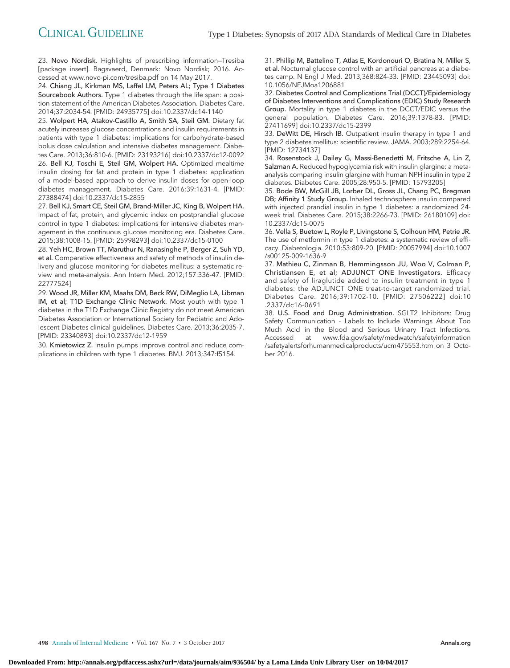23. Novo Nordisk. Highlights of prescribing information—Tresiba [package insert]. Bagsvaerd, Denmark: Novo Nordisk; 2016. Accessed at [www.novo-pi.com/tresiba.pdf](http://www.novo-pi.com/tresiba.pdf) on 14 May 2017.

24. Chiang JL, Kirkman MS, Laffel LM, Peters AL; Type 1 Diabetes Sourcebook Authors. Type 1 diabetes through the life span: a position statement of the American Diabetes Association. Diabetes Care. 2014;37:2034-54. [PMID: 24935775] doi:10.2337/dc14-1140

25. Wolpert HA, Atakov-Castillo A, Smith SA, Steil GM. Dietary fat acutely increases glucose concentrations and insulin requirements in patients with type 1 diabetes: implications for carbohydrate-based bolus dose calculation and intensive diabetes management. Diabetes Care. 2013;36:810-6. [PMID: 23193216] doi:10.2337/dc12-0092 26. Bell KJ, Toschi E, Steil GM, Wolpert HA. Optimized mealtime

insulin dosing for fat and protein in type 1 diabetes: application of a model-based approach to derive insulin doses for open-loop diabetes management. Diabetes Care. 2016;39:1631-4. [PMID: 27388474] doi:10.2337/dc15-2855

27. Bell KJ, Smart CE, Steil GM, Brand-Miller JC, King B, Wolpert HA. Impact of fat, protein, and glycemic index on postprandial glucose control in type 1 diabetes: implications for intensive diabetes management in the continuous glucose monitoring era. Diabetes Care. 2015;38:1008-15. [PMID: 25998293] doi:10.2337/dc15-0100

28. Yeh HC, Brown TT, Maruthur N, Ranasinghe P, Berger Z, Suh YD, et al. Comparative effectiveness and safety of methods of insulin delivery and glucose monitoring for diabetes mellitus: a systematic review and meta-analysis. Ann Intern Med. 2012;157:336-47. [PMID: 22777524]

29. Wood JR, Miller KM, Maahs DM, Beck RW, DiMeglio LA, Libman IM, et al; T1D Exchange Clinic Network. Most youth with type 1 diabetes in the T1D Exchange Clinic Registry do not meet American Diabetes Association or International Society for Pediatric and Adolescent Diabetes clinical guidelines. Diabetes Care. 2013;36:2035-7. [PMID: 23340893] doi:10.2337/dc12-1959

30. Kmietowicz Z. Insulin pumps improve control and reduce complications in children with type 1 diabetes. BMJ. 2013;347:f5154.

31. Phillip M, Battelino T, Atlas E, Kordonouri O, Bratina N, Miller S, et al. Nocturnal glucose control with an artificial pancreas at a diabetes camp. N Engl J Med. 2013;368:824-33. [PMID: 23445093] doi: 10.1056/NEJMoa1206881

32. Diabetes Control and Complications Trial (DCCT)/Epidemiology of Diabetes Interventions and Complications (EDIC) Study Research Group. Mortality in type 1 diabetes in the DCCT/EDIC versus the general population. Diabetes Care. 2016;39:1378-83. [PMID: 27411699] doi:10.2337/dc15-2399

33. DeWitt DE, Hirsch IB. Outpatient insulin therapy in type 1 and type 2 diabetes mellitus: scientific review. JAMA. 2003;289:2254-64. [PMID: 12734137]

34. Rosenstock J, Dailey G, Massi-Benedetti M, Fritsche A, Lin Z, Salzman A. Reduced hypoglycemia risk with insulin glargine: a metaanalysis comparing insulin glargine with human NPH insulin in type 2 diabetes. Diabetes Care. 2005;28:950-5. [PMID: 15793205]

35. Bode BW, McGill JB, Lorber DL, Gross JL, Chang PC, Bregman DB; Affinity 1 Study Group. Inhaled technosphere insulin compared with injected prandial insulin in type 1 diabetes: a randomized 24 week trial. Diabetes Care. 2015;38:2266-73. [PMID: 26180109] doi: 10.2337/dc15-0075

36. Vella S, Buetow L, Royle P, Livingstone S, Colhoun HM, Petrie JR. The use of metformin in type 1 diabetes: a systematic review of efficacy. Diabetologia. 2010;53:809-20. [PMID: 20057994] doi:10.1007 /s00125-009-1636-9

37. Mathieu C, Zinman B, Hemmingsson JU, Woo V, Colman P, Christiansen E, et al; ADJUNCT ONE Investigators. Efficacy and safety of liraglutide added to insulin treatment in type 1 diabetes: the ADJUNCT ONE treat-to-target randomized trial. Diabetes Care. 2016;39:1702-10. [PMID: 27506222] doi:10 .2337/dc16-0691

38. U.S. Food and Drug Administration. SGLT2 Inhibitors: Drug Safety Communication - Labels to Include Warnings About Too Much Acid in the Blood and Serious Urinary Tract Infections. Accessed at [www.fda.gov/safety/medwatch/safetyinformation](http://www.fda.gov/safety/medwatch/safetyinformation/safetyalertsforhumanmedicalproducts/ucm475553.htm) [/safetyalertsforhumanmedicalproducts/ucm475553.htm](http://www.fda.gov/safety/medwatch/safetyinformation/safetyalertsforhumanmedicalproducts/ucm475553.htm) on 3 October 2016.